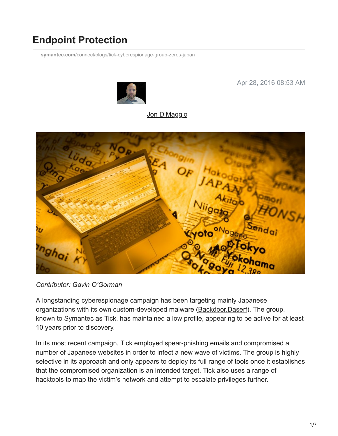# **Endpoint Protection**

**symantec.com**[/connect/blogs/tick-cyberespionage-group-zeros-japan](https://www.symantec.com/connect/blogs/tick-cyberespionage-group-zeros-japan)



Apr 28, 2016 08:53 AM

#### [Jon DiMaggio](https://community.broadcom.com/symantecenterprise/network/members/profile?UserKey=9b28db22-405f-4552-81a7-1c8c7ab2a4fa)



*Contributor: Gavin O'Gorman*

A longstanding cyberespionage campaign has been targeting mainly Japanese organizations with its own custom-developed malware ([Backdoor.Daserf\)](https://www.symantec.com/security_response/writeup.jsp?docid=2006-061312-4916-99). The group, known to Symantec as Tick, has maintained a low profile, appearing to be active for at least 10 years prior to discovery.

In its most recent campaign, Tick employed spear-phishing emails and compromised a number of Japanese websites in order to infect a new wave of victims. The group is highly selective in its approach and only appears to deploy its full range of tools once it establishes that the compromised organization is an intended target. Tick also uses a range of hacktools to map the victim's network and attempt to escalate privileges further.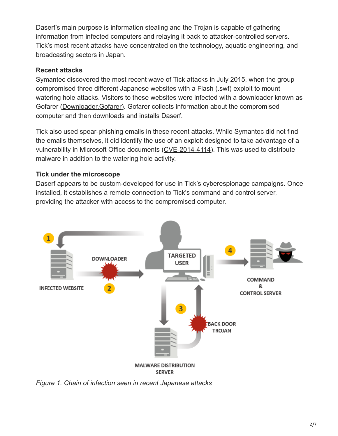Daserf's main purpose is information stealing and the Trojan is capable of gathering information from infected computers and relaying it back to attacker-controlled servers. Tick's most recent attacks have concentrated on the technology, aquatic engineering, and broadcasting sectors in Japan.

### **Recent attacks**

Symantec discovered the most recent wave of Tick attacks in July 2015, when the group compromised three different Japanese websites with a Flash (.swf) exploit to mount watering hole attacks. Visitors to these websites were infected with a downloader known as Gofarer ([Downloader.Gofarer\)](https://www.symantec.com/security_response/writeup.jsp?docid=2015-120812-1148-99). Gofarer collects information about the compromised computer and then downloads and installs Daserf.

Tick also used spear-phishing emails in these recent attacks. While Symantec did not find the emails themselves, it did identify the use of an exploit designed to take advantage of a vulnerability in Microsoft Office documents ([CVE-2014-4114](https://cve.mitre.org/cgi-bin/cvename.cgi?name=cve-2014-4114)). This was used to distribute malware in addition to the watering hole activity.

### **Tick under the microscope**

Daserf appears to be custom-developed for use in Tick's cyberespionage campaigns. Once installed, it establishes a remote connection to Tick's command and control server, providing the attacker with access to the compromised computer.



*Figure 1. Chain of infection seen in recent Japanese attacks*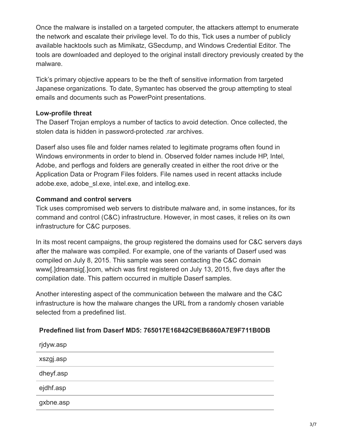Once the malware is installed on a targeted computer, the attackers attempt to enumerate the network and escalate their privilege level. To do this, Tick uses a number of publicly available hacktools such as Mimikatz, GSecdump, and Windows Credential Editor. The tools are downloaded and deployed to the original install directory previously created by the malware.

Tick's primary objective appears to be the theft of sensitive information from targeted Japanese organizations. To date, Symantec has observed the group attempting to steal emails and documents such as PowerPoint presentations.

#### **Low-profile threat**

The Daserf Trojan employs a number of tactics to avoid detection. Once collected, the stolen data is hidden in password-protected .rar archives.

Daserf also uses file and folder names related to legitimate programs often found in Windows environments in order to blend in. Observed folder names include HP, Intel, Adobe, and perflogs and folders are generally created in either the root drive or the Application Data or Program Files folders. File names used in recent attacks include adobe.exe, adobe\_sl.exe, intel.exe, and intellog.exe.

#### **Command and control servers**

Tick uses compromised web servers to distribute malware and, in some instances, for its command and control (C&C) infrastructure. However, in most cases, it relies on its own infrastructure for C&C purposes.

In its most recent campaigns, the group registered the domains used for C&C servers days after the malware was compiled. For example, one of the variants of Daserf used was compiled on July 8, 2015. This sample was seen contacting the C&C domain www[.]dreamsig[.]com, which was first registered on July 13, 2015, five days after the compilation date. This pattern occurred in multiple Daserf samples.

Another interesting aspect of the communication between the malware and the C&C infrastructure is how the malware changes the URL from a randomly chosen variable selected from a predefined list.

#### **Predefined list from Daserf MD5: 765017E16842C9EB6860A7E9F711B0DB**

| rjdyw.asp |  |
|-----------|--|
| xszgj.asp |  |
| dheyf.asp |  |
| ejdhf.asp |  |
| gxbne.asp |  |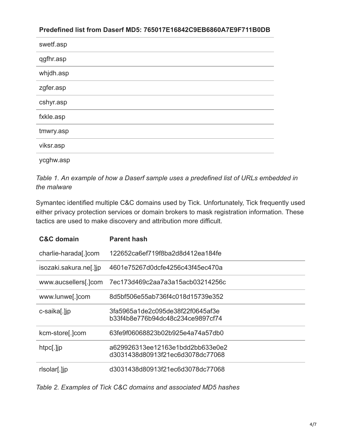#### **Predefined list from Daserf MD5: 765017E16842C9EB6860A7E9F711B0DB**

| swetf.asp |
|-----------|
| qgfhr.asp |
| whjdh.asp |
| zgfer.asp |
| cshyr.asp |
| fxkle.asp |
| tmwry.asp |
| viksr.asp |
| ycghw.asp |

*Table 1. An example of how a Daserf sample uses a predefined list of URLs embedded in the malware*

Symantec identified multiple C&C domains used by Tick. Unfortunately, Tick frequently used either privacy protection services or domain brokers to mask registration information. These tactics are used to make discovery and attribution more difficult.

| <b>C&amp;C</b> domain  | <b>Parent hash</b>                                                   |
|------------------------|----------------------------------------------------------------------|
| charlie-harada[.]com   | 122652ca6ef719f8ba2d8d412ea184fe                                     |
| isozaki.sakura.ne[.]jp | 4601e75267d0dcfe4256c43f45ec470a                                     |
| www.aucsellers[.]com   | 7ec173d469c2aa7a3a15acb03214256c                                     |
| www.lunwe[.]com        | 8d5bf506e55ab736f4c018d15739e352                                     |
| c-saika[.]jp           | 3fa5965a1de2c095de38f22f0645af3e<br>b33f4b8e776b94dc48c234ce9897cf74 |
| kcm-store[.]com        | 63fe9f06068823b02b925e4a74a57db0                                     |
| htpc[.]jp              | a629926313ee12163e1bdd2bb633e0e2<br>d3031438d80913f21ec6d3078dc77068 |
| rlsolar[.]jp           | d3031438d80913f21ec6d3078dc77068                                     |

*Table 2. Examples of Tick C&C domains and associated MD5 hashes*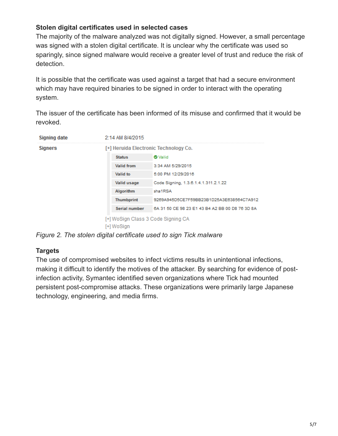### **Stolen digital certificates used in selected cases**

The majority of the malware analyzed was not digitally signed. However, a small percentage was signed with a stolen digital certificate. It is unclear why the certificate was used so sparingly, since signed malware would receive a greater level of trust and reduce the risk of detection.

It is possible that the certificate was used against a target that had a secure environment which may have required binaries to be signed in order to interact with the operating system.

The issuer of the certificate has been informed of its misuse and confirmed that it would be revoked.

| Signing date   | 2:14 AM 8/4/2015                                 |                                                 |  |
|----------------|--------------------------------------------------|-------------------------------------------------|--|
| <b>Signers</b> | [+] Heruida Electronic Technology Co.            |                                                 |  |
|                | <b>Status</b>                                    | <b>O</b> Valid                                  |  |
|                | <b>Valid from</b>                                | 3:34 AM 5/29/2015                               |  |
|                | Valid to                                         | 5:00 PM 12/29/2016                              |  |
|                | Valid usage                                      | Code Signing, 1.3.6.1.4.1.311.2.1.22            |  |
|                | Algorithm                                        | sha1RSA                                         |  |
|                | <b>Thumbprint</b>                                | 9269A945D5CE7F59BB23B1D25A3E638564C7A912        |  |
|                | Serial number                                    | 6A 31 50 CE 98 23 E1 43 B4 A2 BB 00 D8 76 3D 8A |  |
|                | [+] WoSign Class 3 Code Signing CA<br>[+] WoSian |                                                 |  |

*Figure 2. The stolen digital certificate used to sign Tick malware*

## **Targets**

The use of compromised websites to infect victims results in unintentional infections, making it difficult to identify the motives of the attacker. By searching for evidence of postinfection activity, Symantec identified seven organizations where Tick had mounted persistent post-compromise attacks. These organizations were primarily large Japanese technology, engineering, and media firms.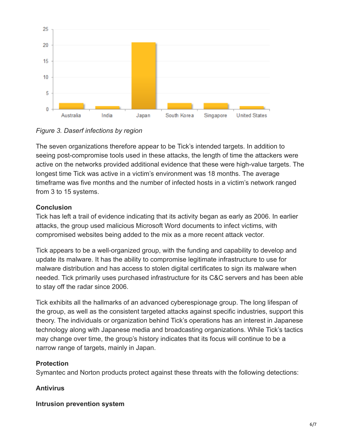

*Figure 3. Daserf infections by region*

The seven organizations therefore appear to be Tick's intended targets. In addition to seeing post-compromise tools used in these attacks, the length of time the attackers were active on the networks provided additional evidence that these were high-value targets. The longest time Tick was active in a victim's environment was 18 months. The average timeframe was five months and the number of infected hosts in a victim's network ranged from 3 to 15 systems.

## **Conclusion**

Tick has left a trail of evidence indicating that its activity began as early as 2006. In earlier attacks, the group used malicious Microsoft Word documents to infect victims, with compromised websites being added to the mix as a more recent attack vector.

Tick appears to be a well-organized group, with the funding and capability to develop and update its malware. It has the ability to compromise legitimate infrastructure to use for malware distribution and has access to stolen digital certificates to sign its malware when needed. Tick primarily uses purchased infrastructure for its C&C servers and has been able to stay off the radar since 2006.

Tick exhibits all the hallmarks of an advanced cyberespionage group. The long lifespan of the group, as well as the consistent targeted attacks against specific industries, support this theory. The individuals or organization behind Tick's operations has an interest in Japanese technology along with Japanese media and broadcasting organizations. While Tick's tactics may change over time, the group's history indicates that its focus will continue to be a narrow range of targets, mainly in Japan.

## **Protection**

Symantec and Norton products protect against these threats with the following detections:

## **Antivirus**

**Intrusion prevention system**